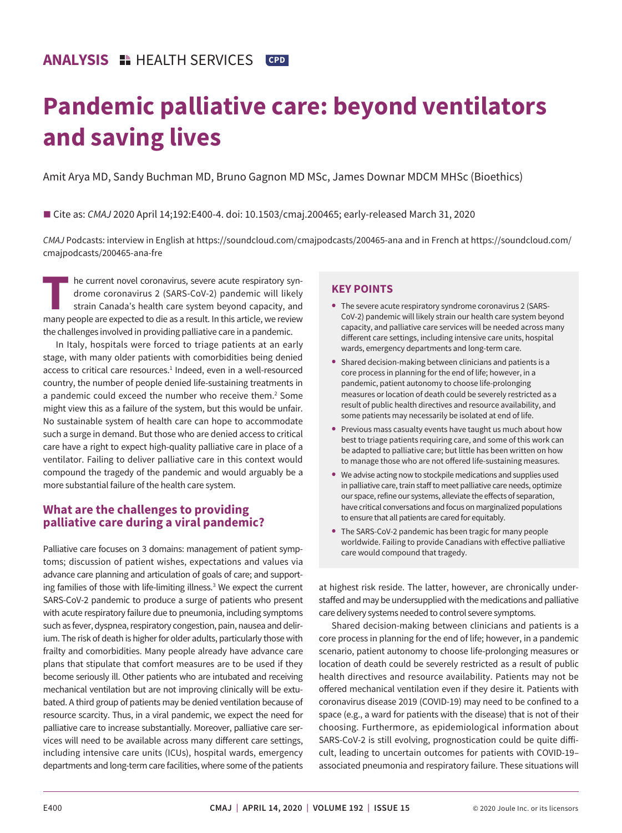# **Pandemic palliative care: beyond ventilators and saving lives**

Amit Arya MD, Sandy Buchman MD, Bruno Gagnon MD MSc, James Downar MDCM MHSc (Bioethics)

n Cite as: *CMAJ* 2020 April 14;192:E400-4. doi: 10.1503/cmaj.200465; early-released March 31, 2020

*CMAJ* Podcasts: interview in English at https://soundcloud.com/cmajpodcasts/200465-ana and in French at https://soundcloud.com/ cmajpodcasts/200465-ana-fre

**THE FR** he current novel coronavirus, severe acute respiratory syn-<br>drome coronavirus 2 (SARS-CoV-2) pandemic will likely<br>strain Canada's health care system beyond capacity, and<br>many people are expected to die as a result drome coronavirus 2 (SARS-CoV-2) pandemic will likely strain Canada's health care system beyond capacity, and many people are expected to die as a result. In this article, we review the challenges involved in providing palliative care in a pandemic.

In Italy, hospitals were forced to triage patients at an early stage, with many older patients with comorbidities being denied access to critical care resources.<sup>1</sup> Indeed, even in a well-resourced country, the number of people denied life-sustaining treatments in a pandemic could exceed the number who receive them.<sup>2</sup> Some might view this as a failure of the system, but this would be unfair. No sustainable system of health care can hope to accommodate such a surge in demand. But those who are denied access to critical care have a right to expect high-quality palliative care in place of a ventilator. Failing to deliver palliative care in this context would compound the tragedy of the pandemic and would arguably be a more substantial failure of the health care system.

# **What are the challenges to providing palliative care during a viral pandemic?**

Palliative care focuses on 3 domains: management of patient symptoms; discussion of patient wishes, expectations and values via advance care planning and articulation of goals of care; and supporting families of those with life-limiting illness.<sup>3</sup> We expect the current SARS-CoV-2 pandemic to produce a surge of patients who present with acute respiratory failure due to pneumonia, including symptoms such as fever, dyspnea, respiratory congestion, pain, nausea and delirium. The risk of death is higher for older adults, particularly those with frailty and comorbidities. Many people already have advance care plans that stipulate that comfort measures are to be used if they become seriously ill. Other patients who are intubated and receiving mechanical ventilation but are not improving clinically will be extubated. A third group of patients may be denied ventilation because of resource scarcity. Thus, in a viral pandemic, we expect the need for palliative care to increase substantially. Moreover, palliative care services will need to be available across many different care settings, including intensive care units (ICUs), hospital wards, emergency departments and long-term care facilities, where some of the patients

# **KEY POINTS**

- **•** The severe acute respiratory syndrome coronavirus 2 (SARS-CoV-2) pandemic will likely strain our health care system beyond capacity, and palliative care services will be needed across many different care settings, including intensive care units, hospital wards, emergency departments and long-term care.
- **•** Shared decision-making between clinicians and patients is a core process in planning for the end of life; however, in a pandemic, patient autonomy to choose life-prolonging measures or location of death could be severely restricted as a result of public health directives and resource availability, and some patients may necessarily be isolated at end of life.
- **•** Previous mass casualty events have taught us much about how best to triage patients requiring care, and some of this work can be adapted to palliative care; but little has been written on how to manage those who are not offered life-sustaining measures.
- **•** We advise acting now to stockpile medications and supplies used in palliative care, train staff to meet palliative care needs, optimize our space, refine our systems, alleviate the effects of separation, have critical conversations and focus on marginalized populations to ensure that all patients are cared for equitably.
- **•** The SARS-CoV-2 pandemic has been tragic for many people worldwide. Failing to provide Canadians with effective palliative care would compound that tragedy.

at highest risk reside. The latter, however, are chronically understaffed and may be undersupplied with the medications and palliative care delivery systems needed to control severe symptoms.

Shared decision-making between clinicians and patients is a core process in planning for the end of life; however, in a pandemic scenario, patient autonomy to choose life-prolonging measures or location of death could be severely restricted as a result of public health directives and resource availability. Patients may not be offered mechanical ventilation even if they desire it. Patients with coronavirus disease 2019 (COVID-19) may need to be confined to a space (e.g., a ward for patients with the disease) that is not of their choosing. Furthermore, as epidemiological information about SARS-CoV-2 is still evolving, prognostication could be quite difficult, leading to uncertain outcomes for patients with COVID-19– associated pneumonia and respiratory failure. These situations will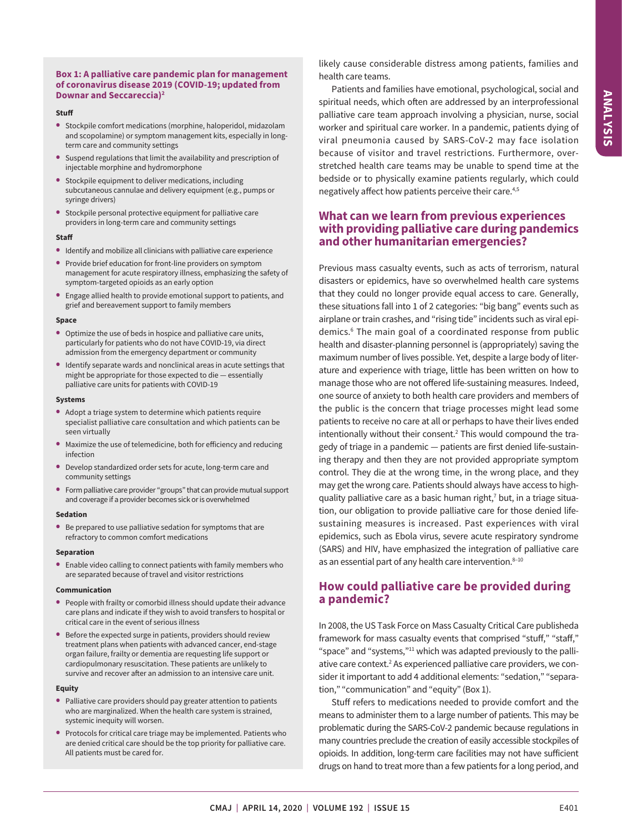## **Box 1: A palliative care pandemic plan for management of coronavirus disease 2019 (COVID-19; updated from Downar and Seccareccia)2**

#### **Stuff**

- **•** Stockpile comfort medications (morphine, haloperidol, midazolam and scopolamine) or symptom management kits, especially in longterm care and community settings
- **•** Suspend regulations that limit the availability and prescription of injectable morphine and hydromorphone
- **•** Stockpile equipment to deliver medications, including subcutaneous cannulae and delivery equipment (e.g., pumps or syringe drivers)
- **•** Stockpile personal protective equipment for palliative care providers in long-term care and community settings

## **Staff**

- **•** Identify and mobilize all clinicians with palliative care experience
- **•** Provide brief education for front-line providers on symptom management for acute respiratory illness, emphasizing the safety of symptom-targeted opioids as an early option
- **•** Engage allied health to provide emotional support to patients, and grief and bereavement support to family members

## **Space**

- **•** Optimize the use of beds in hospice and palliative care units, particularly for patients who do not have COVID-19, via direct admission from the emergency department or community
- **•** Identify separate wards and nonclinical areas in acute settings that might be appropriate for those expected to die — essentially palliative care units for patients with COVID-19

#### **Systems**

- **•** Adopt a triage system to determine which patients require specialist palliative care consultation and which patients can be seen virtually
- **•** Maximize the use of telemedicine, both for efficiency and reducing infection
- **•** Develop standardized order sets for acute, long-term care and community settings
- **•** Form palliative care provider "groups" that can provide mutual support and coverage if a provider becomes sick or is overwhelmed

## **Sedation**

**•** Be prepared to use palliative sedation for symptoms that are refractory to common comfort medications

#### **Separation**

**•** Enable video calling to connect patients with family members who are separated because of travel and visitor restrictions

#### **Communication**

- **•** People with frailty or comorbid illness should update their advance care plans and indicate if they wish to avoid transfers to hospital or critical care in the event of serious illness
- **•** Before the expected surge in patients, providers should review treatment plans when patients with advanced cancer, end-stage organ failure, frailty or dementia are requesting life support or cardiopulmonary resuscitation. These patients are unlikely to survive and recover after an admission to an intensive care unit.

#### **Equity**

- **•** Palliative care providers should pay greater attention to patients who are marginalized. When the health care system is strained, systemic inequity will worsen.
- **•** Protocols for critical care triage may be implemented. Patients who are denied critical care should be the top priority for palliative care. All patients must be cared for.

likely cause considerable distress among patients, families and health care teams.

Patients and families have emotional, psychological, social and spiritual needs, which often are addressed by an interprofessional palliative care team approach involving a physician, nurse, social worker and spiritual care worker. In a pandemic, patients dying of viral pneumonia caused by SARS-CoV-2 may face isolation because of visitor and travel restrictions. Furthermore, overstretched health care teams may be unable to spend time at the bedside or to physically examine patients regularly, which could negatively affect how patients perceive their care.4,5

# **What can we learn from previous experiences with providing palliative care during pandemics and other humanitarian emergencies?**

Previous mass casualty events, such as acts of terrorism, natural disasters or epidemics, have so overwhelmed health care systems that they could no longer provide equal access to care. Generally, these situations fall into 1 of 2 categories: "big bang" events such as airplane or train crashes, and "rising tide" incidents such as viral epidemics.6 The main goal of a coordinated response from public health and disaster-planning personnel is (appropriately) saving the maximum number of lives possible. Yet, despite a large body of literature and experience with triage, little has been written on how to manage those who are not offered life-sustaining measures. Indeed, one source of anxiety to both health care providers and members of the public is the concern that triage processes might lead some patients to receive no care at all or perhaps to have their lives ended intentionally without their consent. $2$  This would compound the tragedy of triage in a pandemic — patients are first denied life-sustaining therapy and then they are not provided appropriate symptom control. They die at the wrong time, in the wrong place, and they may get the wrong care. Patients should always have access to highquality palliative care as a basic human right,<sup>7</sup> but, in a triage situation, our obligation to provide palliative care for those denied lifesustaining measures is increased. Past experiences with viral epidemics, such as Ebola virus, severe acute respiratory syndrome (SARS) and HIV, have emphasized the integration of palliative care as an essential part of any health care intervention. $8-10$ 

# **How could palliative care be provided during a pandemic?**

In 2008, the US Task Force on Mass Casualty Critical Care publisheda framework for mass casualty events that comprised "stuff," "staff," "space" and "systems,"11 which was adapted previously to the palliative care context.<sup>2</sup> As experienced palliative care providers, we consider it important to add 4 additional elements: "sedation," "separation," "communication" and "equity" (Box 1).

Stuff refers to medications needed to provide comfort and the means to administer them to a large number of patients. This may be problematic during the SARS-CoV-2 pandemic because regulations in many countries preclude the creation of easily accessible stockpiles of opioids. In addition, long-term care facilities may not have sufficient drugs on hand to treat more than a few patients for a long period, and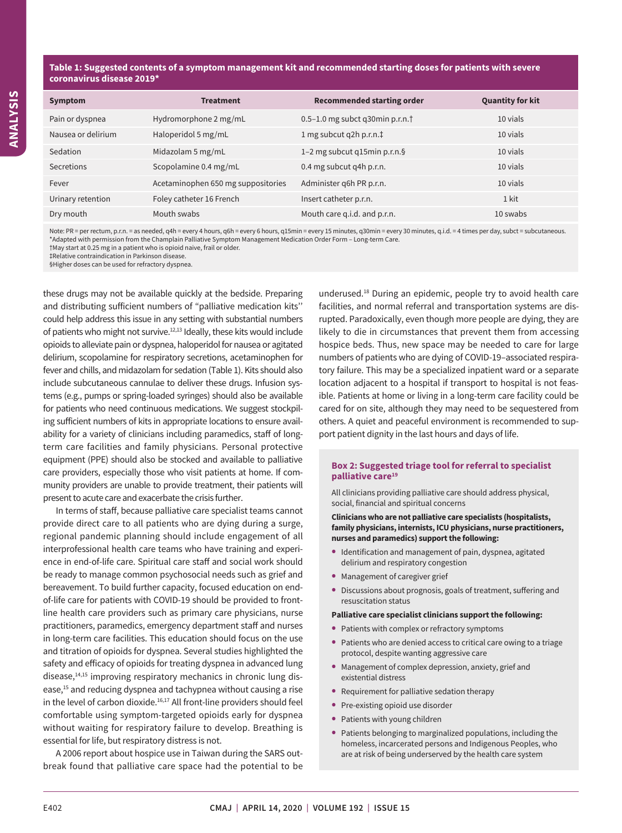## **Table 1: Suggested contents of a symptom management kit and recommended starting doses for patients with severe coronavirus disease 2019\***

| <b>Symptom</b>     | <b>Treatment</b>                   | Recommended starting order                | <b>Quantity for kit</b> |
|--------------------|------------------------------------|-------------------------------------------|-------------------------|
| Pain or dyspnea    | Hydromorphone 2 mg/mL              | 0.5–1.0 mg subct q30 min p.r.n. $\dagger$ | 10 vials                |
| Nausea or delirium | Haloperidol 5 mg/mL                | 1 mg subcut q2h p.r.n.‡                   | 10 vials                |
| Sedation           | Midazolam 5 mg/mL                  | 1-2 mg subcut q15min p.r.n.§              | 10 vials                |
| Secretions         | Scopolamine 0.4 mg/mL              | 0.4 mg subcut q4h p.r.n.                  | 10 vials                |
| Fever              | Acetaminophen 650 mg suppositories | Administer q6h PR p.r.n.                  | 10 vials                |
| Urinary retention  | Foley catheter 16 French           | Insert catheter p.r.n.                    | 1 kit                   |
| Dry mouth          | Mouth swabs                        | Mouth care q.i.d. and p.r.n.              | 10 swabs                |

Note: PR = per rectum, p.r.n. = as needed, q4h = every 4 hours, q6h = every 6 hours, q15min = every 15 minutes, q30min = every 30 minutes, q.i.d. = 4 times per day, subct = subcutaneous. \*Adapted with permission from the Champlain Palliative Symptom Management Medication Order Form – Long-term Care. †May start at 0.25 mg in a patient who is opioid naive, frail or older.

‡Relative contraindication in Parkinson disease.

§Higher doses can be used for refractory dyspnea.

these drugs may not be available quickly at the bedside. Preparing and distributing sufficient numbers of "palliative medication kits'' could help address this issue in any setting with substantial numbers of patients who might not survive.<sup>12,13</sup> Ideally, these kits would include opioids to alleviate pain or dyspnea, haloperidol for nausea or agitated delirium, scopolamine for respiratory secretions, acetaminophen for fever and chills, and midazolam for sedation (Table 1). Kits should also include subcutaneous cannulae to deliver these drugs. Infusion systems (e.g., pumps or spring-loaded syringes) should also be available for patients who need continuous medications. We suggest stockpiling sufficient numbers of kits in appropriate locations to ensure availability for a variety of clinicians including paramedics, staff of longterm care facilities and family physicians. Personal protective equipment (PPE) should also be stocked and available to palliative care providers, especially those who visit patients at home. If community providers are unable to provide treatment, their patients will present to acute care and exacerbate the crisis further.

In terms of staff, because palliative care specialist teams cannot provide direct care to all patients who are dying during a surge, regional pandemic planning should include engagement of all interprofessional health care teams who have training and experience in end-of-life care. Spiritual care staff and social work should be ready to manage common psychosocial needs such as grief and bereavement. To build further capacity, focused education on endof-life care for patients with COVID-19 should be provided to frontline health care providers such as primary care physicians, nurse practitioners, paramedics, emergency department staff and nurses in long-term care facilities. This education should focus on the use and titration of opioids for dyspnea. Several studies highlighted the safety and efficacy of opioids for treating dyspnea in advanced lung disease,<sup>14,15</sup> improving respiratory mechanics in chronic lung disease,<sup>15</sup> and reducing dyspnea and tachypnea without causing a rise in the level of carbon dioxide.<sup>16,17</sup> All front-line providers should feel comfortable using symptom-targeted opioids early for dyspnea without waiting for respiratory failure to develop. Breathing is essential for life, but respiratory distress is not.

A 2006 report about hospice use in Taiwan during the SARS outbreak found that palliative care space had the potential to be underused.18 During an epidemic, people try to avoid health care facilities, and normal referral and transportation systems are disrupted. Paradoxically, even though more people are dying, they are likely to die in circumstances that prevent them from accessing hospice beds. Thus, new space may be needed to care for large numbers of patients who are dying of COVID-19–associated respiratory failure. This may be a specialized inpatient ward or a separate location adjacent to a hospital if transport to hospital is not feasible. Patients at home or living in a long-term care facility could be cared for on site, although they may need to be sequestered from others. A quiet and peaceful environment is recommended to support patient dignity in the last hours and days of life.

## **Box 2: Suggested triage tool for referral to specialist palliative care19**

All clinicians providing palliative care should address physical, social, financial and spiritual concerns

## **Clinicians who are not palliative care specialists (hospitalists, family physicians, internists, ICU physicians, nurse practitioners, nurses and paramedics) support the following:**

- **•** Identification and management of pain, dyspnea, agitated delirium and respiratory congestion
- **•** Management of caregiver grief
- **•** Discussions about prognosis, goals of treatment, suffering and resuscitation status

### **Palliative care specialist clinicians support the following:**

- **•** Patients with complex or refractory symptoms
- **•** Patients who are denied access to critical care owing to a triage protocol, despite wanting aggressive care
- **•** Management of complex depression, anxiety, grief and existential distress
- **•** Requirement for palliative sedation therapy
- **•** Pre-existing opioid use disorder
- **•** Patients with young children
- **•** Patients belonging to marginalized populations, including the homeless, incarcerated persons and Indigenous Peoples, who are at risk of being underserved by the health care system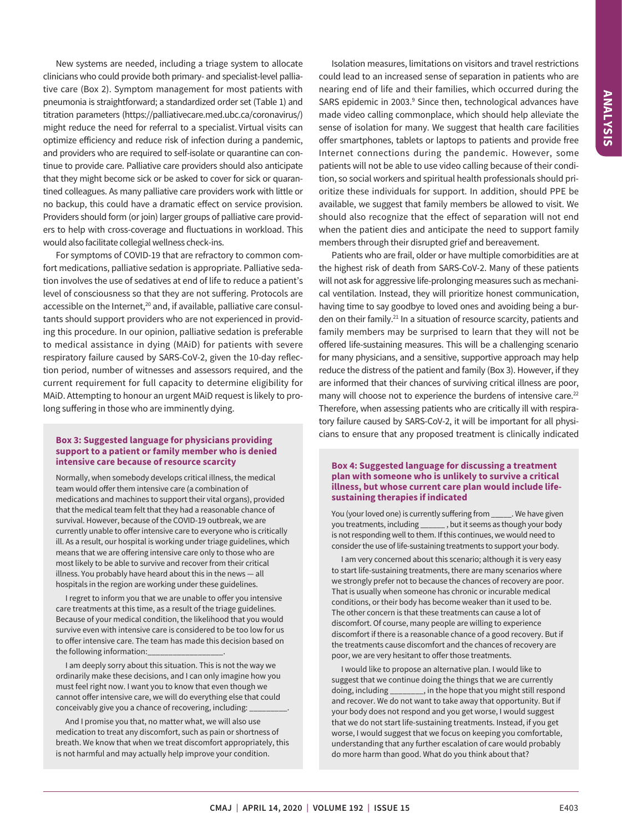New systems are needed, including a triage system to allocate clinicians who could provide both primary- and specialist-level palliative care (Box 2). Symptom management for most patients with pneumonia is straightforward; a standardized order set (Table 1) and titration parameters (https://palliativecare.med.ubc.ca/coronavirus/) might reduce the need for referral to a specialist. Virtual visits can optimize efficiency and reduce risk of infection during a pandemic, and providers who are required to self-isolate or quarantine can continue to provide care. Palliative care providers should also anticipate that they might become sick or be asked to cover for sick or quarantined colleagues. As many palliative care providers work with little or no backup, this could have a dramatic effect on service provision. Providers should form (or join) larger groups of palliative care providers to help with cross-coverage and fluctuations in workload. This would also facilitate collegial wellness check-ins.

For symptoms of COVID-19 that are refractory to common comfort medications, palliative sedation is appropriate. Palliative sedation involves the use of sedatives at end of life to reduce a patient's level of consciousness so that they are not suffering. Protocols are accessible on the Internet,<sup>20</sup> and, if available, palliative care consultants should support providers who are not experienced in providing this procedure. In our opinion, palliative sedation is preferable to medical assistance in dying (MAiD) for patients with severe respiratory failure caused by SARS-CoV-2, given the 10-day reflection period, number of witnesses and assessors required, and the current requirement for full capacity to determine eligibility for MAiD. Attempting to honour an urgent MAiD request is likely to prolong suffering in those who are imminently dying.

# **support to a patient or family member who is denied intensive care because of resource scarcity**

Normally, when somebody develops critical illness, the medical team would offer them intensive care (a combination of medications and machines to support their vital organs), provided that the medical team felt that they had a reasonable chance of survival. However, because of the COVID-19 outbreak, we are currently unable to offer intensive care to everyone who is critically ill. As a result, our hospital is working under triage guidelines, which means that we are offering intensive care only to those who are most likely to be able to survive and recover from their critical illness. You probably have heard about this in the news — all hospitals in the region are working under these guidelines.

I regret to inform you that we are unable to offer you intensive care treatments at this time, as a result of the triage guidelines. Because of your medical condition, the likelihood that you would survive even with intensive care is considered to be too low for us to offer intensive care. The team has made this decision based on the following information:

I am deeply sorry about this situation. This is not the way we ordinarily make these decisions, and I can only imagine how you must feel right now. I want you to know that even though we cannot offer intensive care, we will do everything else that could conceivably give you a chance of recovering, including: \_\_\_\_\_\_\_\_\_.

And I promise you that, no matter what, we will also use medication to treat any discomfort, such as pain or shortness of breath. We know that when we treat discomfort appropriately, this is not harmful and may actually help improve your condition.

Isolation measures, limitations on visitors and travel restrictions could lead to an increased sense of separation in patients who are nearing end of life and their families, which occurred during the SARS epidemic in 2003.<sup>9</sup> Since then, technological advances have made video calling commonplace, which should help alleviate the sense of isolation for many. We suggest that health care facilities offer smartphones, tablets or laptops to patients and provide free Internet connections during the pandemic. However, some patients will not be able to use video calling because of their condition, so social workers and spiritual health professionals should prioritize these individuals for support. In addition, should PPE be available, we suggest that family members be allowed to visit. We should also recognize that the effect of separation will not end when the patient dies and anticipate the need to support family members through their disrupted grief and bereavement.

Patients who are frail, older or have multiple comorbidities are at the highest risk of death from SARS-CoV-2. Many of these patients will not ask for aggressive life-prolonging measures such as mechanical ventilation. Instead, they will prioritize honest communication, having time to say goodbye to loved ones and avoiding being a burden on their family.<sup>21</sup> In a situation of resource scarcity, patients and family members may be surprised to learn that they will not be offered life-sustaining measures. This will be a challenging scenario for many physicians, and a sensitive, supportive approach may help reduce the distress of the patient and family (Box 3). However, if they are informed that their chances of surviving critical illness are poor, many will choose not to experience the burdens of intensive care.<sup>22</sup> Therefore, when assessing patients who are critically ill with respiratory failure caused by SARS-CoV-2, it will be important for all physicians to ensure that any proposed treatment is clinically indicated **Box 3: Suggested language for physicians providing** 

## **Box 4: Suggested language for discussing a treatment plan with someone who is unlikely to survive a critical illness, but whose current care plan would include lifesustaining therapies if indicated**

You (your loved one) is currently suffering from \_\_\_\_\_. We have given you treatments, including \_\_\_\_\_\_ , but it seems as though your body is not responding well to them. If this continues, we would need to consider the use of life-sustaining treatments to support your body.

I am very concerned about this scenario; although it is very easy to start life-sustaining treatments, there are many scenarios where we strongly prefer not to because the chances of recovery are poor. That is usually when someone has chronic or incurable medical conditions, or their body has become weaker than it used to be. The other concern is that these treatments can cause a lot of discomfort. Of course, many people are willing to experience discomfort if there is a reasonable chance of a good recovery. But if the treatments cause discomfort and the chances of recovery are poor, we are very hesitant to offer those treatments.

I would like to propose an alternative plan. I would like to suggest that we continue doing the things that we are currently doing, including \_\_\_\_\_\_\_\_, in the hope that you might still respond and recover. We do not want to take away that opportunity. But if your body does not respond and you get worse, I would suggest that we do not start life-sustaining treatments. Instead, if you get worse, I would suggest that we focus on keeping you comfortable, understanding that any further escalation of care would probably do more harm than good. What do you think about that?